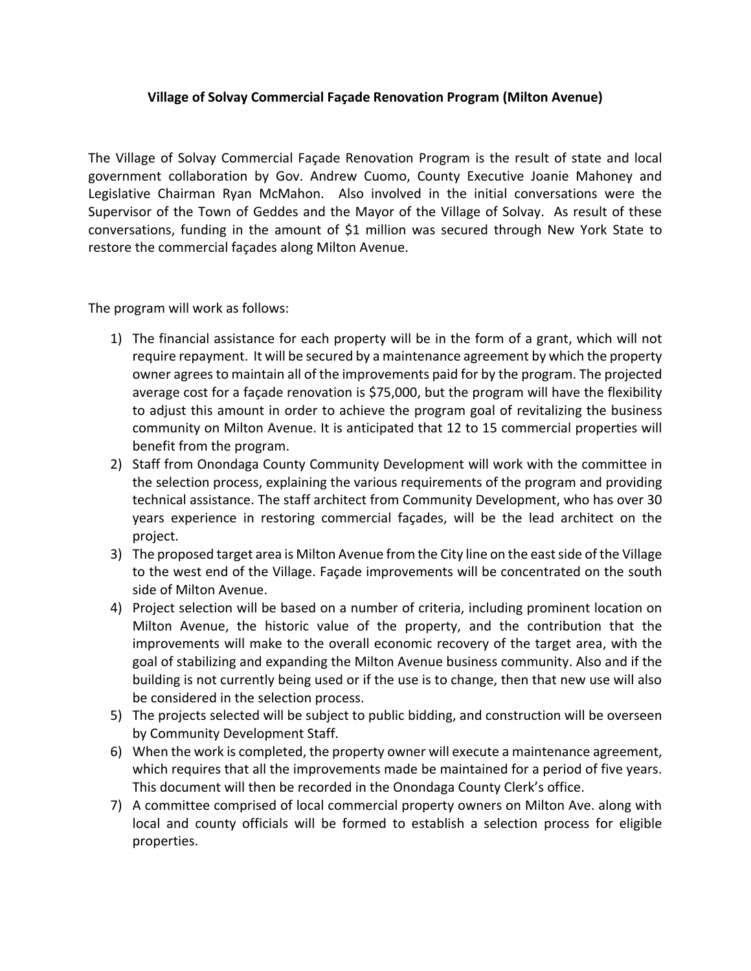#### **Village of Solvay Commercial Façade Renovation Program (Milton Avenue)**

The Village of Solvay Commercial Façade Renovation Program is the result of state and local government collaboration by Gov. Andrew Cuomo, County Executive Joanie Mahoney and Legislative Chairman Ryan McMahon. Also involved in the initial conversations were the Supervisor of the Town of Geddes and the Mayor of the Village of Solvay. As result of these conversations, funding in the amount of \$1 million was secured through New York State to restore the commercial façades along Milton Avenue.

The program will work as follows:

- 1) The financial assistance for each property will be in the form of a grant, which will not require repayment. It will be secured by a maintenance agreement by which the property owner agrees to maintain all of the improvements paid for by the program. The projected average cost for a façade renovation is \$75,000, but the program will have the flexibility to adjust this amount in order to achieve the program goal of revitalizing the business community on Milton Avenue. It is anticipated that 12 to 15 commercial properties will benefit from the program.
- 2) Staff from Onondaga County Community Development will work with the committee in the selection process, explaining the various requirements of the program and providing technical assistance. The staff architect from Community Development, who has over 30 years experience in restoring commercial façades, will be the lead architect on the project.
- 3) The proposed target area is Milton Avenue from the City line on the east side of the Village to the west end of the Village. Façade improvements will be concentrated on the south side of Milton Avenue.
- 4) Project selection will be based on a number of criteria, including prominent location on Milton Avenue, the historic value of the property, and the contribution that the improvements will make to the overall economic recovery of the target area, with the goal of stabilizing and expanding the Milton Avenue business community. Also and if the building is not currently being used or if the use is to change, then that new use will also be considered in the selection process.
- 5) The projects selected will be subject to public bidding, and construction will be overseen by Community Development Staff.
- 6) When the work is completed, the property owner will execute a maintenance agreement, which requires that all the improvements made be maintained for a period of five years. This document will then be recorded in the Onondaga County Clerk's office.
- 7) A committee comprised of local commercial property owners on Milton Ave. along with local and county officials will be formed to establish a selection process for eligible properties.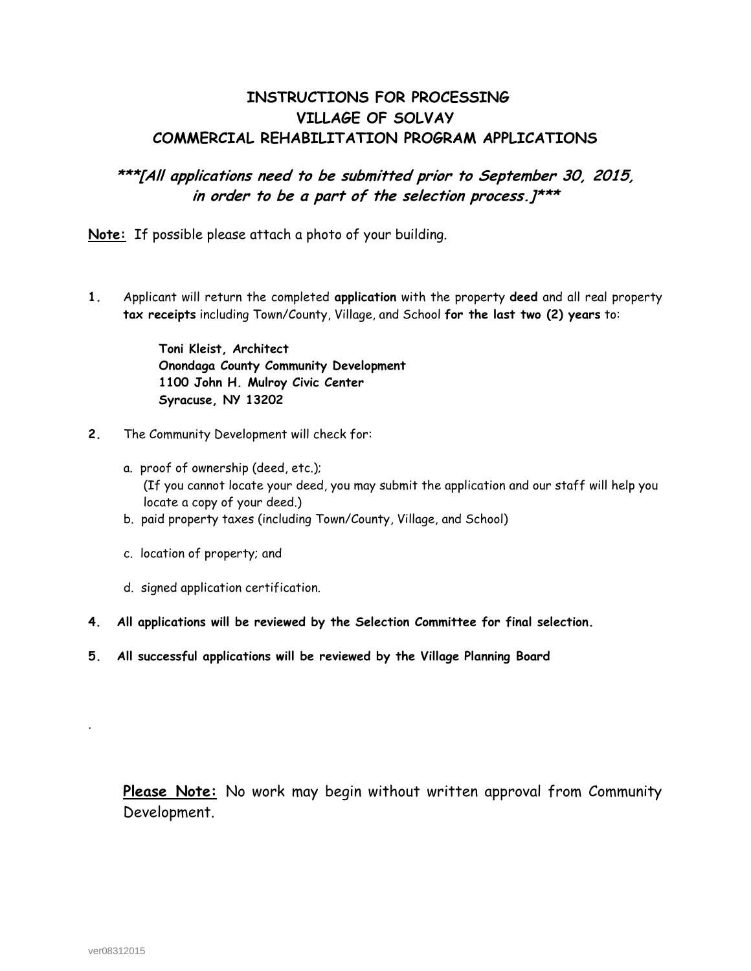## **INSTRUCTIONS FOR PROCESSING VILLAGE OF SOLVAY COMMERCIAL REHABILITATION PROGRAM APPLICATIONS**

**\*\*\*[All applications need to be submitted prior to September 30, 2015, in order to be a part of the selection process.]\*\*\***

**Note:** If possible please attach a photo of your building.

**1.** Applicant will return the completed **application** with the property **deed** and all real property **tax receipts** including Town/County, Village, and School **for the last two (2) years** to:

> **Toni Kleist, Architect Onondaga County Community Development 1100 John H. Mulroy Civic Center Syracuse, NY 13202**

- **2.** The Community Development will check for:
	- a. proof of ownership (deed, etc.); (If you cannot locate your deed, you may submit the application and our staff will help you locate a copy of your deed.)
	- b. paid property taxes (including Town/County, Village, and School)
	- c. location of property; and
	- d. signed application certification.
- **4. All applications will be reviewed by the Selection Committee for final selection.**
- **5. All successful applications will be reviewed by the Village Planning Board**

**Please Note:** No work may begin without written approval from Community Development.

.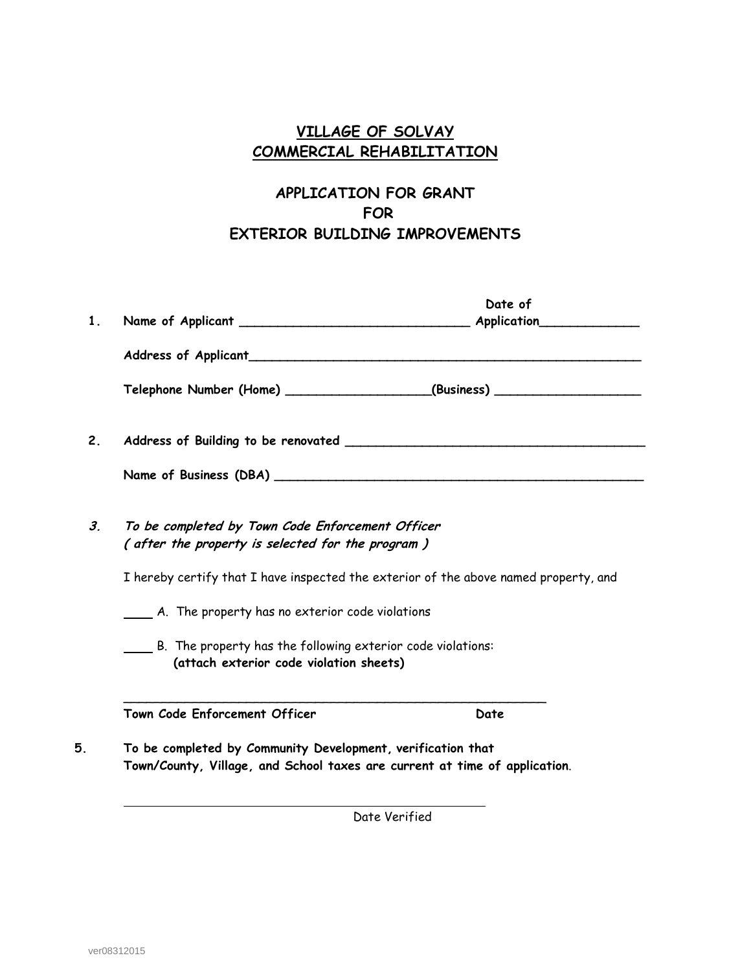# **VILLAGE OF SOLVAY COMMERCIAL REHABILITATION**

# **APPLICATION FOR GRANT FOR EXTERIOR BUILDING IMPROVEMENTS**

|                                                                                                                       | Date of |  |  |
|-----------------------------------------------------------------------------------------------------------------------|---------|--|--|
|                                                                                                                       |         |  |  |
| Telephone Number (Home) ____________________(Business) _________________________                                      |         |  |  |
|                                                                                                                       |         |  |  |
|                                                                                                                       |         |  |  |
| To be completed by Town Code Enforcement Officer<br>(after the property is selected for the program)                  |         |  |  |
| I hereby certify that I have inspected the exterior of the above named property, and                                  |         |  |  |
| A. The property has no exterior code violations                                                                       |         |  |  |
| $\blacksquare$ B. The property has the following exterior code violations:<br>(attach exterior code violation sheets) |         |  |  |
| Town Code Enforcement Officer                                                                                         | Date    |  |  |

Date Verified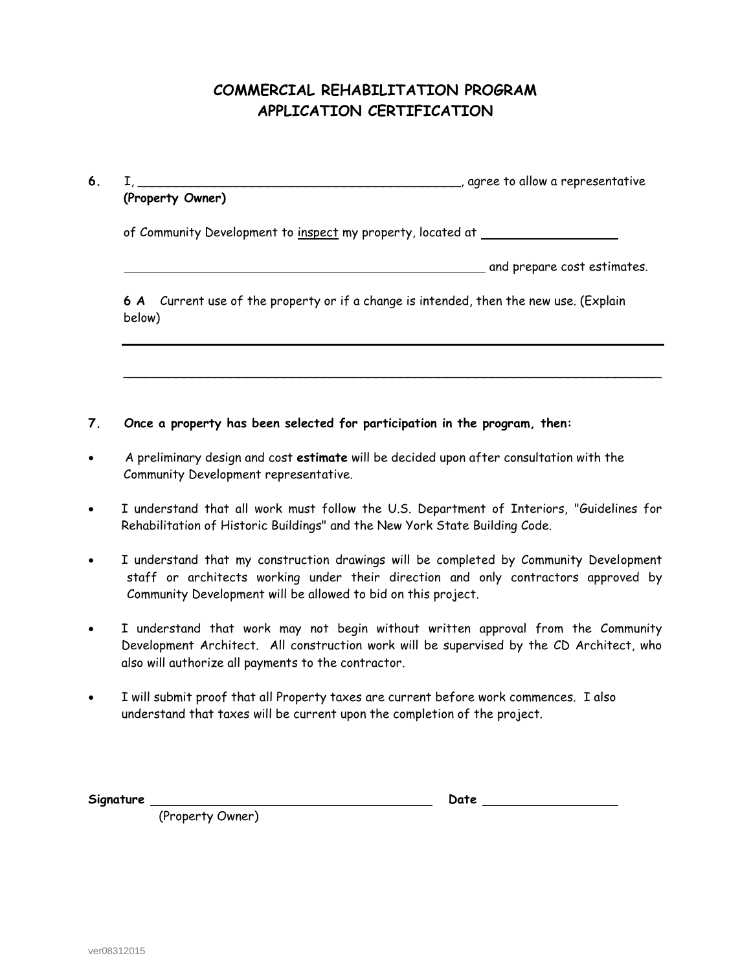## **COMMERCIAL REHABILITATION PROGRAM APPLICATION CERTIFICATION**

**6.** I, \_\_\_\_\_\_\_\_\_\_\_\_\_\_\_\_\_\_\_\_\_\_\_\_\_\_\_\_\_\_\_\_\_\_\_\_\_\_\_\_\_\_, agree to allow a representative **(Property Owner)**

of Community Development to inspect my property, located at

and prepare cost estimates.

**6 A** Current use of the property or if a change is intended, then the new use. (Explain below)

\_\_\_\_\_\_\_\_\_\_\_\_\_\_\_\_\_\_\_\_\_\_\_\_\_\_\_\_\_\_\_\_\_\_\_\_\_\_\_\_\_\_\_\_\_\_\_\_\_\_\_\_\_\_\_\_\_\_\_\_\_\_\_\_\_\_\_\_\_\_

#### **7. Once a property has been selected for participation in the program, then:**

- A preliminary design and cost **estimate** will be decided upon after consultation with the Community Development representative.
- I understand that all work must follow the U.S. Department of Interiors, "Guidelines for Rehabilitation of Historic Buildings" and the New York State Building Code.
- I understand that my construction drawings will be completed by Community Development staff or architects working under their direction and only contractors approved by Community Development will be allowed to bid on this project.
- I understand that work may not begin without written approval from the Community Development Architect. All construction work will be supervised by the CD Architect, who also will authorize all payments to the contractor.
- I will submit proof that all Property taxes are current before work commences. I also understand that taxes will be current upon the completion of the project.

**Signature Date**

(Property Owner)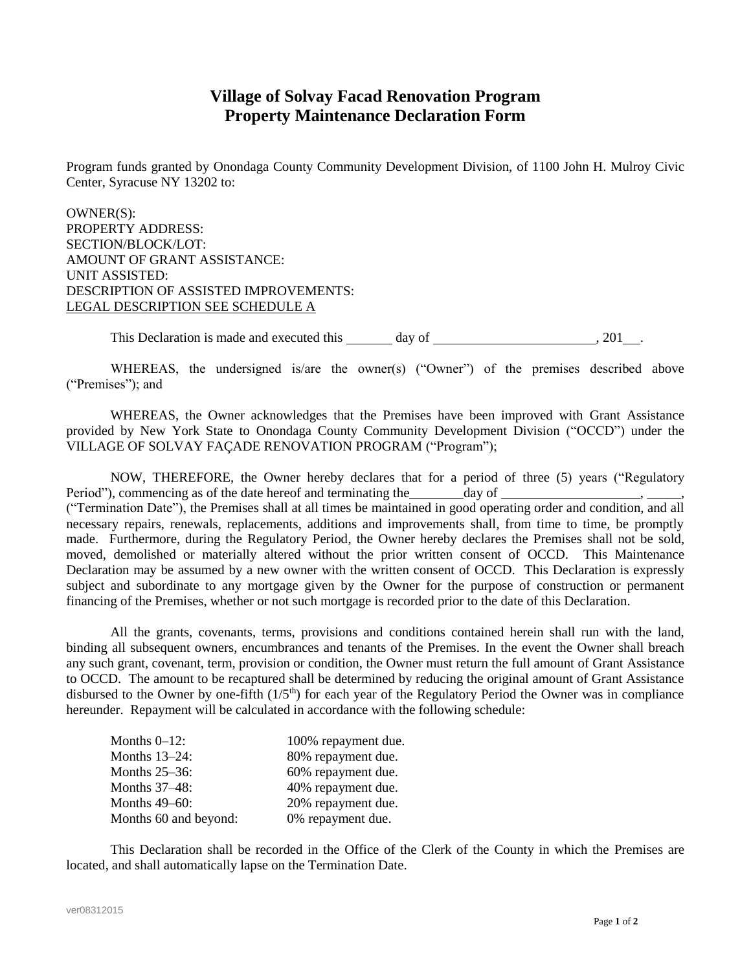## **Village of Solvay Facad Renovation Program Property Maintenance Declaration Form**

Program funds granted by Onondaga County Community Development Division, of 1100 John H. Mulroy Civic Center, Syracuse NY 13202 to:

OWNER(S): PROPERTY ADDRESS: SECTION/BLOCK/LOT: AMOUNT OF GRANT ASSISTANCE: UNIT ASSISTED: DESCRIPTION OF ASSISTED IMPROVEMENTS: LEGAL DESCRIPTION SEE SCHEDULE A

This Declaration is made and executed this day of , 201 .

WHEREAS, the undersigned is/are the owner(s) ("Owner") of the premises described above ("Premises"); and

WHEREAS, the Owner acknowledges that the Premises have been improved with Grant Assistance provided by New York State to Onondaga County Community Development Division ("OCCD") under the VILLAGE OF SOLVAY FAÇADE RENOVATION PROGRAM ("Program");

NOW, THEREFORE, the Owner hereby declares that for a period of three (5) years ("Regulatory Period"), commencing as of the date hereof and terminating the day of ("Termination Date"), the Premises shall at all times be maintained in good operating order and condition, and all necessary repairs, renewals, replacements, additions and improvements shall, from time to time, be promptly made. Furthermore, during the Regulatory Period, the Owner hereby declares the Premises shall not be sold, moved, demolished or materially altered without the prior written consent of OCCD. This Maintenance Declaration may be assumed by a new owner with the written consent of OCCD. This Declaration is expressly subject and subordinate to any mortgage given by the Owner for the purpose of construction or permanent financing of the Premises, whether or not such mortgage is recorded prior to the date of this Declaration.

All the grants, covenants, terms, provisions and conditions contained herein shall run with the land, binding all subsequent owners, encumbrances and tenants of the Premises. In the event the Owner shall breach any such grant, covenant, term, provision or condition, the Owner must return the full amount of Grant Assistance to OCCD. The amount to be recaptured shall be determined by reducing the original amount of Grant Assistance disbursed to the Owner by one-fifth (1/5<sup>th</sup>) for each year of the Regulatory Period the Owner was in compliance hereunder. Repayment will be calculated in accordance with the following schedule:

| Months $0-12$ :       | 100% repayment due. |
|-----------------------|---------------------|
| Months 13-24:         | 80% repayment due.  |
| Months 25–36:         | 60% repayment due.  |
| Months 37–48:         | 40% repayment due.  |
| Months 49–60:         | 20% repayment due.  |
| Months 60 and beyond: | 0% repayment due.   |

This Declaration shall be recorded in the Office of the Clerk of the County in which the Premises are located, and shall automatically lapse on the Termination Date.